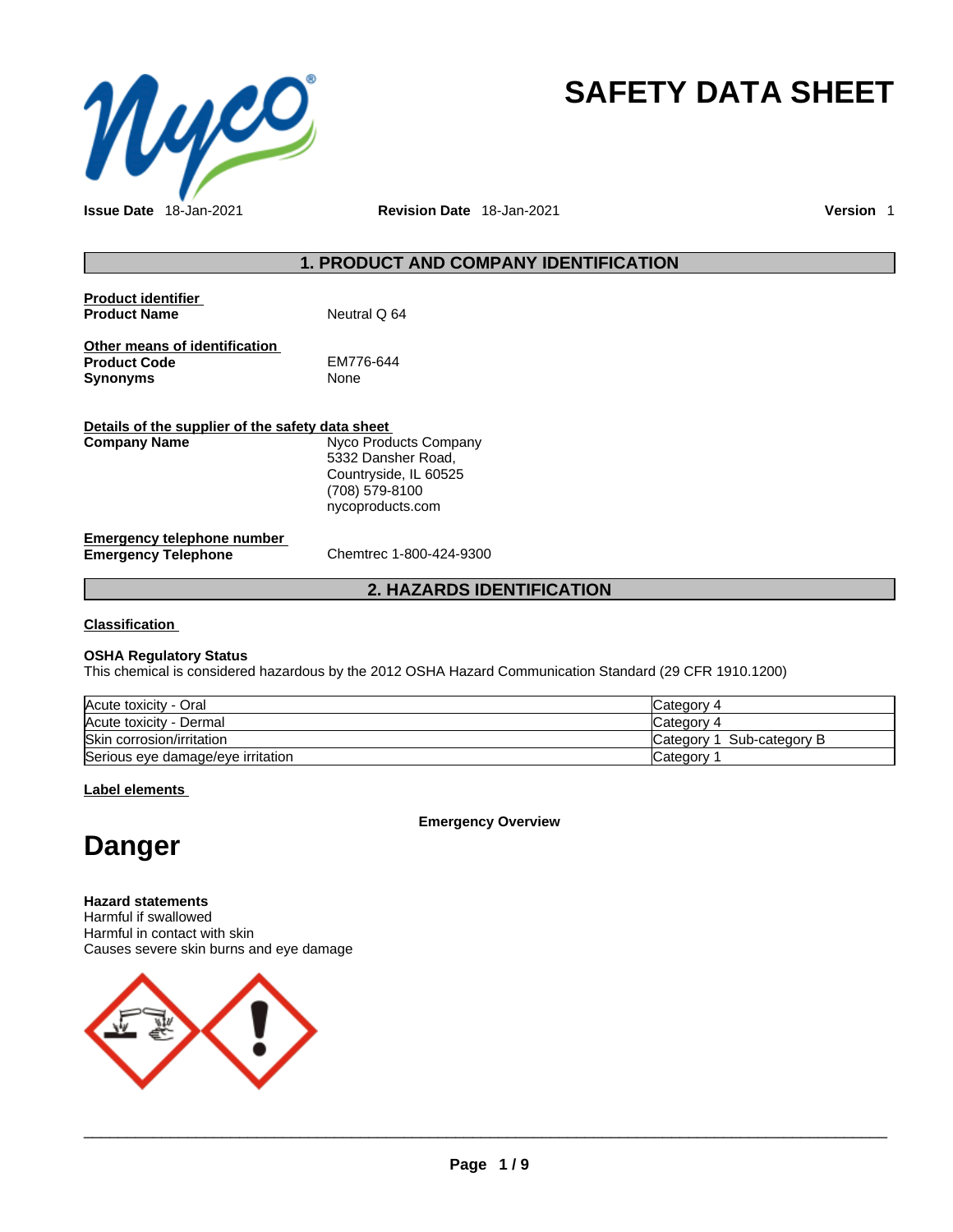

# **SAFETY DATA SHEET**

**Issue Date** 18-Jan-2021 **Revision Date** 18-Jan-2021 **Version** 1

### **1. PRODUCT AND COMPANY IDENTIFICATION**

| <b>Product identifier</b><br><b>Product Name</b> | Neutral Q 64 |
|--------------------------------------------------|--------------|
| Other means of identification                    |              |
| <b>Product Code</b>                              | EM776-644    |
| <b>Synonyms</b>                                  | None         |

| Details of the supplier of the safety data sheet         |                                                                                                            |
|----------------------------------------------------------|------------------------------------------------------------------------------------------------------------|
| Company Name                                             | Nyco Products Company<br>5332 Dansher Road,<br>Countryside, IL 60525<br>(708) 579-8100<br>nycoproducts.com |
| Emergency telephone number<br><b>Emergency Telephone</b> | Chemtrec 1-800-424-9300                                                                                    |

### **2. HAZARDS IDENTIFICATION**

**Classification**

### **OSHA Regulatory Status**

This chemical is considered hazardous by the 2012 OSHA Hazard Communication Standard (29 CFR 1910.1200)

| Acute toxicity - Oral             | Category 4                   |
|-----------------------------------|------------------------------|
| Acute toxicity - Dermal           | Category 4                   |
| Skin corrosion/irritation         | Sub-category B<br>Category 1 |
| Serious eye damage/eye irritation | Category                     |

### **Label elements**

**Emergency Overview** 

## **Danger**

**Hazard statements** Harmful if swallowed Harmful in contact with skin Causes severe skin burns and eye damage



 $\_$  ,  $\_$  ,  $\_$  ,  $\_$  ,  $\_$  ,  $\_$  ,  $\_$  ,  $\_$  ,  $\_$  ,  $\_$  ,  $\_$  ,  $\_$  ,  $\_$  ,  $\_$  ,  $\_$  ,  $\_$  ,  $\_$  ,  $\_$  ,  $\_$  ,  $\_$  ,  $\_$  ,  $\_$  ,  $\_$  ,  $\_$  ,  $\_$  ,  $\_$  ,  $\_$  ,  $\_$  ,  $\_$  ,  $\_$  ,  $\_$  ,  $\_$  ,  $\_$  ,  $\_$  ,  $\_$  ,  $\_$  ,  $\_$  ,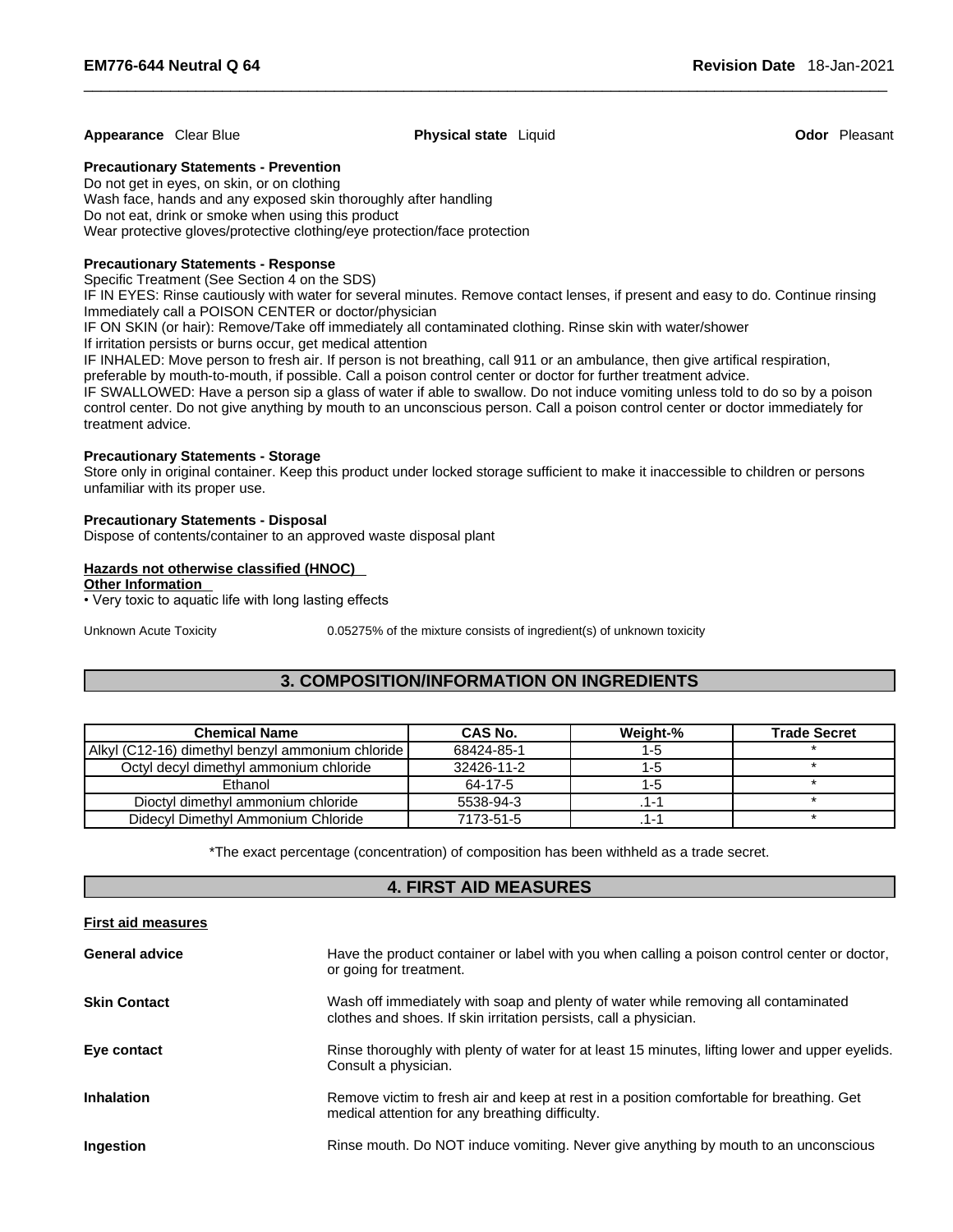#### **Appearance** Clear Blue **Physical state** Liquid **Odor** Pleasant

### **Precautionary Statements - Prevention**

Do not get in eyes, on skin, or on clothing Wash face, hands and any exposed skin thoroughly after handling Do not eat, drink or smoke when using this product Wear protective gloves/protective clothing/eye protection/face protection

### **Precautionary Statements - Response**

Specific Treatment (See Section 4 on the SDS)

IF IN EYES: Rinse cautiously with water for several minutes. Remove contact lenses, if present and easy to do. Continue rinsing Immediately call a POISON CENTER or doctor/physician

IF ON SKIN (or hair): Remove/Take off immediately all contaminated clothing. Rinse skin with water/shower

If irritation persists or burns occur, get medical attention

IF INHALED: Move person to fresh air. If person is not breathing, call 911 or an ambulance, then give artifical respiration,

preferable by mouth-to-mouth, if possible. Call a poison control center or doctor for further treatment advice.

IF SWALLOWED: Have a person sip a glass of water if able to swallow. Do not induce vomiting unless told to do so by a poison control center. Do not give anything by mouth to an unconscious person. Call a poison control center or doctor immediately for treatment advice.

### **Precautionary Statements - Storage**

Store only in original container. Keep this product under locked storage sufficient to make it inaccessible to children or persons unfamiliar with its proper use.

### **Precautionary Statements - Disposal**

Dispose of contents/container to an approved waste disposal plant

### **Hazards not otherwise classified (HNOC)**

### **Other Information**

• Very toxic to aquatic life with long lasting effects

Unknown Acute Toxicity 0.05275% of the mixture consists of ingredient(s) of unknown toxicity

### **3. COMPOSITION/INFORMATION ON INGREDIENTS**

| <b>Chemical Name</b>                             | CAS No.    | Weight-% | <b>Trade Secret</b> |
|--------------------------------------------------|------------|----------|---------------------|
| Alkyl (C12-16) dimethyl benzyl ammonium chloride | 68424-85-1 | 1-0      |                     |
| Octyl decyl dimethyl ammonium chloride           | 32426-11-2 | нg       |                     |
| Ethanol                                          | 64-17-5    | I -: 1   |                     |
| Dioctyl dimethyl ammonium chloride               | 5538-94-3  |          |                     |
| Didecyl Dimethyl Ammonium Chloride               | 7173-51-5  | 1 -      |                     |

\*The exact percentage (concentration) of composition has been withheld as a trade secret.

### **4. FIRST AID MEASURES**

| <b>First aid measures</b> |                                                                                                                                                         |
|---------------------------|---------------------------------------------------------------------------------------------------------------------------------------------------------|
| <b>General advice</b>     | Have the product container or label with you when calling a poison control center or doctor,<br>or going for treatment.                                 |
| <b>Skin Contact</b>       | Wash off immediately with soap and plenty of water while removing all contaminated<br>clothes and shoes. If skin irritation persists, call a physician. |
| Eye contact               | Rinse thoroughly with plenty of water for at least 15 minutes, lifting lower and upper eyelids.<br>Consult a physician.                                 |
| <b>Inhalation</b>         | Remove victim to fresh air and keep at rest in a position comfortable for breathing. Get<br>medical attention for any breathing difficulty.             |
| Ingestion                 | Rinse mouth. Do NOT induce vomiting. Never give anything by mouth to an unconscious                                                                     |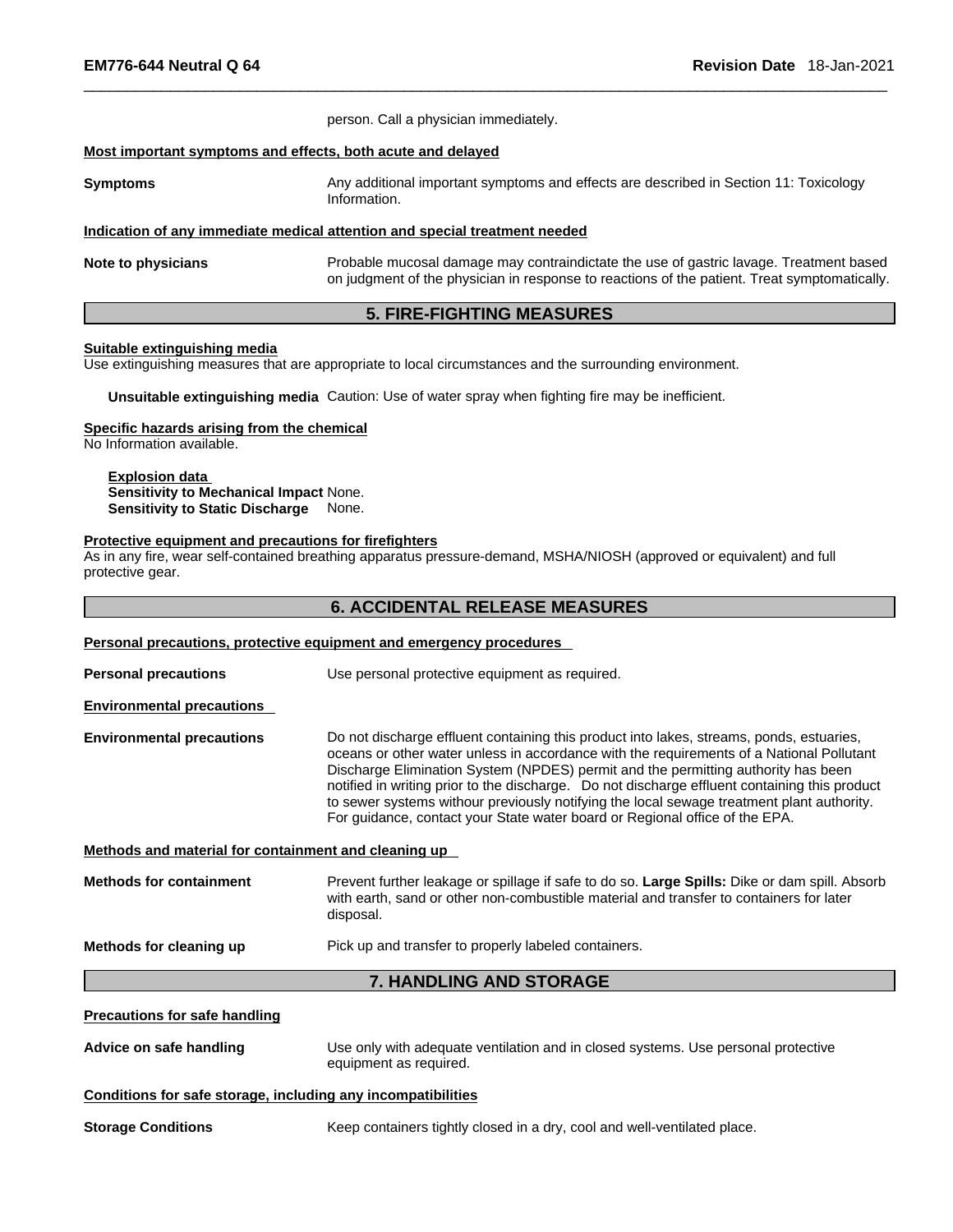| <b>EM776-644 Neutral Q 64</b>                                                                            | <b>Revision Date</b> 18-Jan-2021                                                                                                                                                                                                                                                                                                                                                                                                                                                                                                                       |
|----------------------------------------------------------------------------------------------------------|--------------------------------------------------------------------------------------------------------------------------------------------------------------------------------------------------------------------------------------------------------------------------------------------------------------------------------------------------------------------------------------------------------------------------------------------------------------------------------------------------------------------------------------------------------|
|                                                                                                          | person. Call a physician immediately.                                                                                                                                                                                                                                                                                                                                                                                                                                                                                                                  |
|                                                                                                          | Most important symptoms and effects, both acute and delayed                                                                                                                                                                                                                                                                                                                                                                                                                                                                                            |
| Symptoms                                                                                                 | Any additional important symptoms and effects are described in Section 11: Toxicology<br>Information.                                                                                                                                                                                                                                                                                                                                                                                                                                                  |
|                                                                                                          | Indication of any immediate medical attention and special treatment needed                                                                                                                                                                                                                                                                                                                                                                                                                                                                             |
| Note to physicians                                                                                       | Probable mucosal damage may contraindictate the use of gastric lavage. Treatment based<br>on judgment of the physician in response to reactions of the patient. Treat symptomatically.                                                                                                                                                                                                                                                                                                                                                                 |
|                                                                                                          | <b>5. FIRE-FIGHTING MEASURES</b>                                                                                                                                                                                                                                                                                                                                                                                                                                                                                                                       |
| Suitable extinguishing media                                                                             | Use extinguishing measures that are appropriate to local circumstances and the surrounding environment.                                                                                                                                                                                                                                                                                                                                                                                                                                                |
|                                                                                                          | Unsuitable extinguishing media Caution: Use of water spray when fighting fire may be inefficient.                                                                                                                                                                                                                                                                                                                                                                                                                                                      |
| Specific hazards arising from the chemical<br>No Information available.                                  |                                                                                                                                                                                                                                                                                                                                                                                                                                                                                                                                                        |
| <b>Explosion data</b><br>Sensitivity to Mechanical Impact None.<br>Sensitivity to Static Discharge None. |                                                                                                                                                                                                                                                                                                                                                                                                                                                                                                                                                        |
| Protective equipment and precautions for firefighters<br>protective gear.                                | As in any fire, wear self-contained breathing apparatus pressure-demand, MSHA/NIOSH (approved or equivalent) and full                                                                                                                                                                                                                                                                                                                                                                                                                                  |
|                                                                                                          | <b>6. ACCIDENTAL RELEASE MEASURES</b>                                                                                                                                                                                                                                                                                                                                                                                                                                                                                                                  |
|                                                                                                          | Personal precautions, protective equipment and emergency procedures                                                                                                                                                                                                                                                                                                                                                                                                                                                                                    |
| <b>Personal precautions</b>                                                                              | Use personal protective equipment as required.                                                                                                                                                                                                                                                                                                                                                                                                                                                                                                         |
| <b>Environmental precautions</b>                                                                         |                                                                                                                                                                                                                                                                                                                                                                                                                                                                                                                                                        |
| <b>Environmental precautions</b>                                                                         | Do not discharge effluent containing this product into lakes, streams, ponds, estuaries,<br>oceans or other water unless in accordance with the requirements of a National Pollutant<br>Discharge Elimination System (NPDES) permit and the permitting authority has been<br>notified in writing prior to the discharge. Do not discharge effluent containing this product<br>to sewer systems withour previously notifying the local sewage treatment plant authority.<br>For guidance, contact your State water board or Regional office of the EPA. |
| Methods and material for containment and cleaning up                                                     |                                                                                                                                                                                                                                                                                                                                                                                                                                                                                                                                                        |
|                                                                                                          |                                                                                                                                                                                                                                                                                                                                                                                                                                                                                                                                                        |

**Methods for containment** Prevent further leakage or spillage if safe to do so. **Large Spills:** Dike or dam spill. Absorb with earth, sand or other non-combustible material and transfer to containers for later disposal.

**Methods for cleaning up** Pick up and transfer to properly labeled containers.

### **7. HANDLING AND STORAGE**

### **Precautions for safe handling**

**Advice on safe handling** Use only with adequate ventilation and in closed systems. Use personal protective equipment as required.

### **Conditions for safe storage, including any incompatibilities**

**Storage Conditions** Keep containers tightly closed in a dry, cool and well-ventilated place.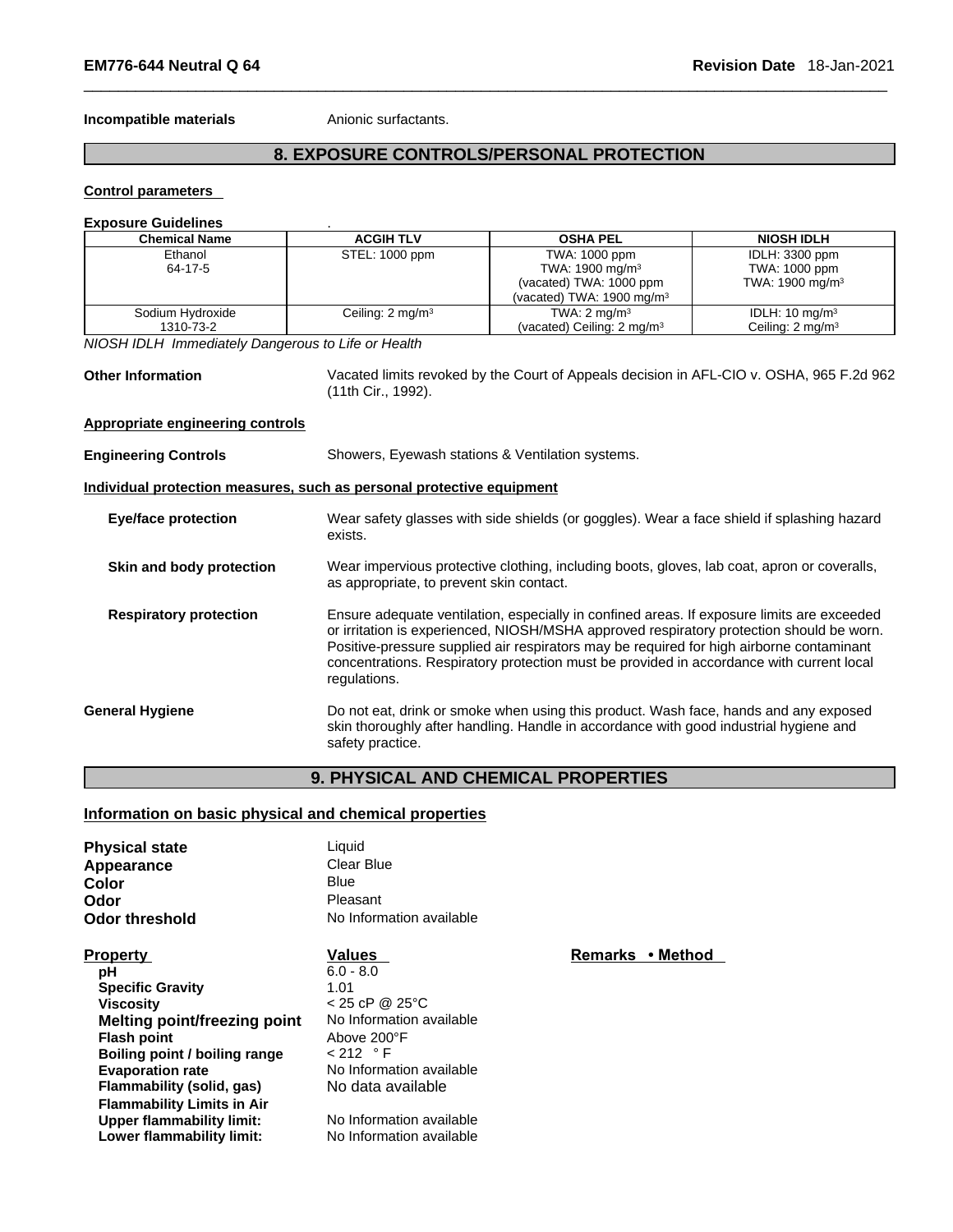**Incompatible materials Anionic surfactants.** 

### **8. EXPOSURE CONTROLS/PERSONAL PROTECTION**

**Control parameters** 

#### **Exposure Guidelines** .

| <b>Chemical Name</b> | <b>ACGIH TLV</b>             | <b>OSHA PEL</b>                       | <b>NIOSH IDLH</b>           |
|----------------------|------------------------------|---------------------------------------|-----------------------------|
| Ethanol              | STEL: 1000 ppm               | TWA: 1000 ppm                         | IDLH: 3300 ppm              |
| 64-17-5              |                              | TWA: 1900 mg/m <sup>3</sup>           | TWA: 1000 ppm               |
|                      |                              | (vacated) TWA: 1000 ppm               | TWA: 1900 mg/m <sup>3</sup> |
|                      |                              | (vacated) TWA: $1900 \text{ mg/m}^3$  |                             |
| Sodium Hydroxide     | Ceiling: 2 mg/m <sup>3</sup> | TWA: $2 \text{ mg/m}^3$               | IDLH: $10 \text{ mg/m}^3$   |
| 1310-73-2            |                              | (vacated) Ceiling: $2 \text{ mg/m}^3$ | Ceiling: $2 \text{ mg/m}^3$ |

*NIOSH IDLH Immediately Dangerous to Life or Health* 

**Other Information** Vacated limits revoked by the Court of Appeals decision in AFL-CIO v.OSHA, 965 F.2d 962 (11th Cir., 1992).

### **Appropriate engineering controls**

| <b>Engineering Controls</b> | Showers, Eyewash stations & Ventilation systems. |  |
|-----------------------------|--------------------------------------------------|--|
|-----------------------------|--------------------------------------------------|--|

**Individual protection measures, such as personal protective equipment**

| <b>Eye/face protection</b> | Wear safety glasses with side shields (or goggles). Wear a face shield if splashing hazard |
|----------------------------|--------------------------------------------------------------------------------------------|
|                            | exists.                                                                                    |
|                            |                                                                                            |

- **Skin and body protection** Wear impervious protective clothing, including boots, gloves, lab coat, apron or coveralls, as appropriate, to prevent skin contact.
- **Respiratory protection** Ensure adequate ventilation, especially in confined areas. If exposure limits are exceeded or irritation is experienced, NIOSH/MSHA approved respiratory protection should be worn. Positive-pressure supplied air respirators may be required for high airborne contaminant concentrations. Respiratory protection must be provided in accordance with current local regulations.
- **General Hygiene** Do not eat, drink or smoke when using this product. Wash face, hands and any exposed skin thoroughly after handling. Handle in accordance with good industrial hygiene and safety practice.

### **9. PHYSICAL AND CHEMICAL PROPERTIES**

### **Information on basic physical and chemical properties**

| Liquid                   |                            |
|--------------------------|----------------------------|
| Clear Blue               |                            |
| <b>Blue</b>              |                            |
| Pleasant                 |                            |
| No Information available |                            |
| <b>Values</b>            | <b>Remarks</b><br>• Method |
| $6.0 - 8.0$              |                            |
| 1.01                     |                            |
| $< 25$ cP @ 25°C         |                            |
| No Information available |                            |
| Above 200°F              |                            |
| $< 212$ ° F              |                            |
| No Information available |                            |
| No data available        |                            |
|                          |                            |
| No Information available |                            |
| No Information available |                            |
|                          |                            |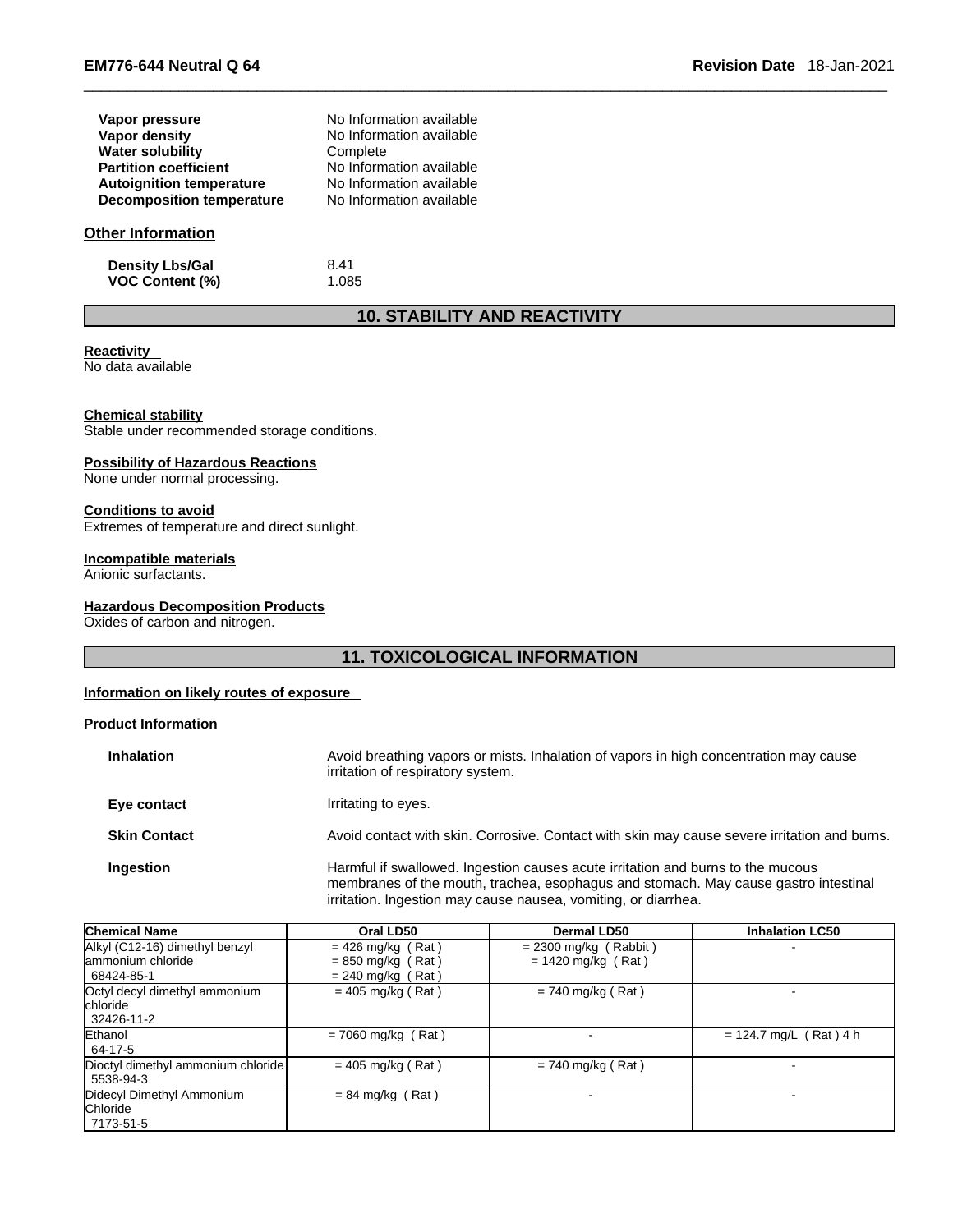| <b>EM776-644 Neutral Q 64</b> | 18-Jan-2021<br><b>Revision Date</b> |
|-------------------------------|-------------------------------------|
|                               |                                     |

| Vapor pressure                   | No Information available |
|----------------------------------|--------------------------|
| Vapor density                    | No Information available |
| <b>Water solubility</b>          | Complete                 |
| <b>Partition coefficient</b>     | No Information available |
| <b>Autoignition temperature</b>  | No Information available |
| <b>Decomposition temperature</b> | No Information available |

### **Other Information**

**Density Lbs/Gal** 8.41<br> **VOC Content (%)** 1.085 **VOC** Content (%)

### **10. STABILITY AND REACTIVITY**

### **Reactivity**

No data available

### **Chemical stability**

Stable under recommended storage conditions.

#### **Possibility of Hazardous Reactions**

None under normal processing.

## **Conditions to avoid**

Extremes of temperature and direct sunlight.

### **Incompatible materials**

Anionic surfactants.

### **Hazardous Decomposition Products**

Oxides of carbon and nitrogen.

### **11. TOXICOLOGICAL INFORMATION**

### **Information on likely routes of exposure**

### **Product Information**

| <b>Inhalation</b>   | Avoid breathing vapors or mists. Inhalation of vapors in high concentration may cause<br>irritation of respiratory system.                                                                                                               |
|---------------------|------------------------------------------------------------------------------------------------------------------------------------------------------------------------------------------------------------------------------------------|
| Eye contact         | Irritating to eyes.                                                                                                                                                                                                                      |
| <b>Skin Contact</b> | Avoid contact with skin. Corrosive. Contact with skin may cause severe irritation and burns.                                                                                                                                             |
| Ingestion           | Harmful if swallowed. Ingestion causes acute irritation and burns to the mucous<br>membranes of the mouth, trachea, esophagus and stomach. May cause gastro intestinal<br>irritation. Ingestion may cause nausea, vomiting, or diarrhea. |

| <b>Chemical Name</b>                              | Oral LD50            | <b>Dermal LD50</b>      | <b>Inhalation LC50</b>   |
|---------------------------------------------------|----------------------|-------------------------|--------------------------|
| Alkyl (C12-16) dimethyl benzyl                    | $= 426$ mg/kg (Rat)  | $= 2300$ mg/kg (Rabbit) |                          |
| lammonium chloride                                | $= 850$ mg/kg (Rat)  | $= 1420$ mg/kg (Rat)    |                          |
| 68424-85-1                                        | $= 240$ mg/kg (Rat)  |                         |                          |
| Octyl decyl dimethyl ammonium<br><b>Ichloride</b> | $= 405$ mg/kg (Rat)  | $= 740$ mg/kg (Rat)     |                          |
| 32426-11-2                                        |                      |                         |                          |
| Ethanol                                           | $= 7060$ mg/kg (Rat) |                         | $= 124.7$ mg/L (Rat) 4 h |
| 64-17-5                                           |                      |                         |                          |
| Dioctyl dimethyl ammonium chloride                | $= 405$ mg/kg (Rat)  | $= 740$ mg/kg (Rat)     |                          |
| 5538-94-3                                         |                      |                         |                          |
| Didecyl Dimethyl Ammonium                         | $= 84$ mg/kg (Rat)   |                         |                          |
| Chloride                                          |                      |                         |                          |
| 7173-51-5                                         |                      |                         |                          |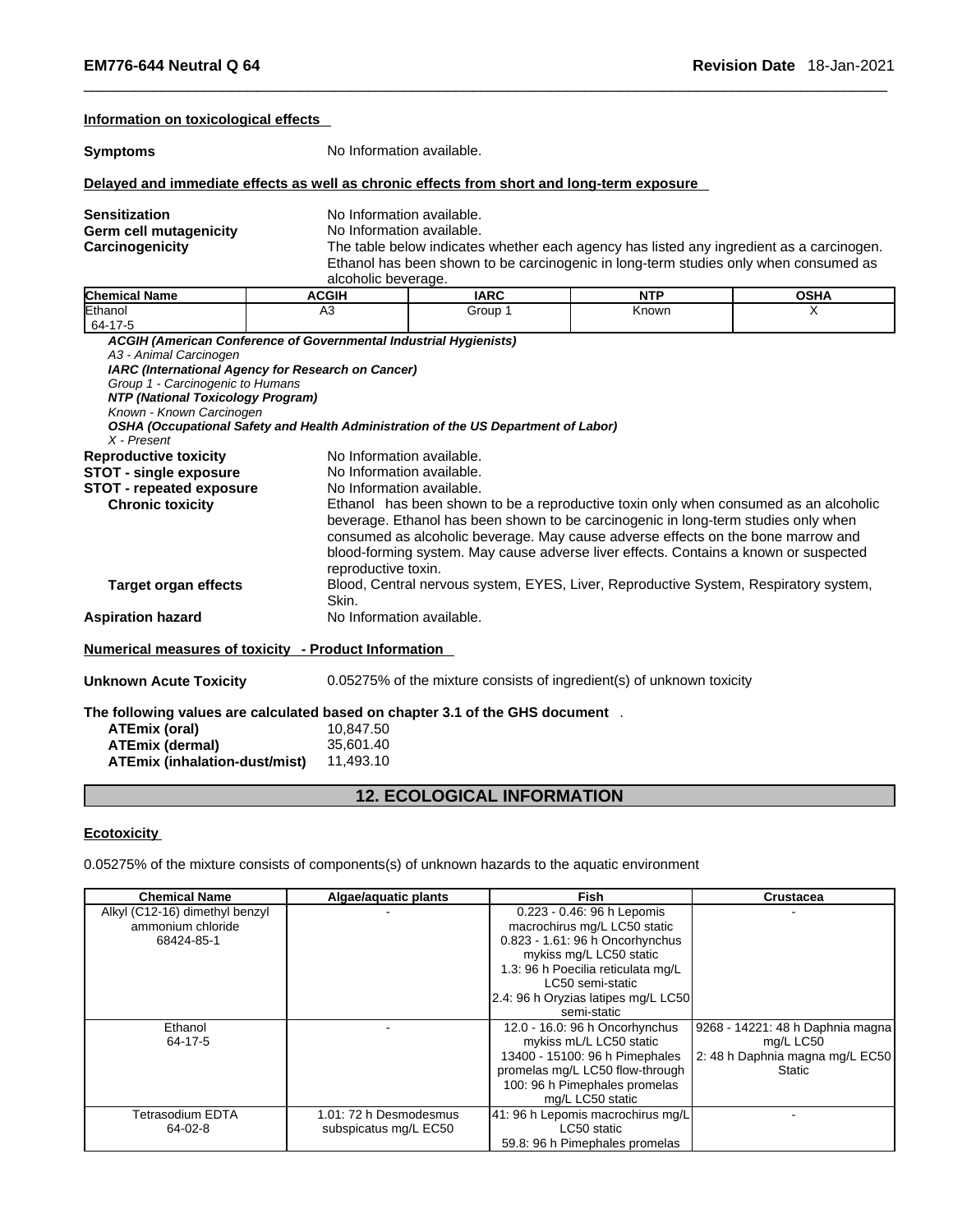### **Information on toxicological effects**

**Symptoms** No Information available.

### **Delayed and immediate effects as well as chronic effects from short and long-term exposure**

| <b>Sensitization</b>          |  |
|-------------------------------|--|
| <b>Germ cell mutagenicity</b> |  |
| Carcinogenicity               |  |

**No Information available.** 

**No Information available.** 

The table below indicates whether each agency has listed any ingredient as a carcinogen. Ethanol has been shown to be carcinogenic in long-term studies only when consumed as alcoholic beverage.

| <b>Chemical Name</b>              | <b>ACGIH</b>                                                                       | <b>IARC</b>               | <b>NTP</b>                                                                                                                                                                                                                                                                                                                                             | <b>OSHA</b> |  |
|-----------------------------------|------------------------------------------------------------------------------------|---------------------------|--------------------------------------------------------------------------------------------------------------------------------------------------------------------------------------------------------------------------------------------------------------------------------------------------------------------------------------------------------|-------------|--|
| Ethanol                           | A <sub>3</sub>                                                                     | Group 1                   | Known                                                                                                                                                                                                                                                                                                                                                  | X           |  |
| 64-17-5                           |                                                                                    |                           |                                                                                                                                                                                                                                                                                                                                                        |             |  |
|                                   | ACGIH (American Conference of Governmental Industrial Hygienists)                  |                           |                                                                                                                                                                                                                                                                                                                                                        |             |  |
| A3 - Animal Carcinogen            |                                                                                    |                           |                                                                                                                                                                                                                                                                                                                                                        |             |  |
|                                   | IARC (International Agency for Research on Cancer)                                 |                           |                                                                                                                                                                                                                                                                                                                                                        |             |  |
| Group 1 - Carcinogenic to Humans  |                                                                                    |                           |                                                                                                                                                                                                                                                                                                                                                        |             |  |
| NTP (National Toxicology Program) |                                                                                    |                           |                                                                                                                                                                                                                                                                                                                                                        |             |  |
| Known - Known Carcinogen          |                                                                                    |                           |                                                                                                                                                                                                                                                                                                                                                        |             |  |
|                                   | OSHA (Occupational Safety and Health Administration of the US Department of Labor) |                           |                                                                                                                                                                                                                                                                                                                                                        |             |  |
| X - Present                       |                                                                                    |                           |                                                                                                                                                                                                                                                                                                                                                        |             |  |
| <b>Reproductive toxicity</b>      |                                                                                    | No Information available. |                                                                                                                                                                                                                                                                                                                                                        |             |  |
| <b>STOT - single exposure</b>     |                                                                                    | No Information available. |                                                                                                                                                                                                                                                                                                                                                        |             |  |
| <b>STOT - repeated exposure</b>   |                                                                                    | No Information available. |                                                                                                                                                                                                                                                                                                                                                        |             |  |
| <b>Chronic toxicity</b>           | reproductive toxin.                                                                |                           | Ethanol has been shown to be a reproductive toxin only when consumed as an alcoholic<br>beverage. Ethanol has been shown to be carcinogenic in long-term studies only when<br>consumed as alcoholic beverage. May cause adverse effects on the bone marrow and<br>blood-forming system. May cause adverse liver effects. Contains a known or suspected |             |  |
| <b>Target organ effects</b>       | Skin.                                                                              |                           | Blood, Central nervous system, EYES, Liver, Reproductive System, Respiratory system,                                                                                                                                                                                                                                                                   |             |  |
| <b>Aspiration hazard</b>          | No Information available.                                                          |                           |                                                                                                                                                                                                                                                                                                                                                        |             |  |
|                                   | Numerical measures of toxicity - Product Information                               |                           |                                                                                                                                                                                                                                                                                                                                                        |             |  |
| <b>Unknown Acute Toxicity</b>     |                                                                                    |                           | 0.05275% of the mixture consists of ingredient(s) of unknown toxicity                                                                                                                                                                                                                                                                                  |             |  |
|                                   |                                                                                    |                           |                                                                                                                                                                                                                                                                                                                                                        |             |  |

**The following values are calculated based on chapter 3.1 of the GHS document** .**ATEmix (oral)** 10,847.50<br> **ATEmix (dermal)** 35,601.40 **ATEmix (dermal)**35,601.40 **ATEmix (inhalation-dust/mist)** 

### **12. ECOLOGICAL INFORMATION**

### **Ecotoxicity**

0.05275% of the mixture consists of components(s) of unknown hazards to the aquatic environment

| <b>Chemical Name</b>           | Algae/aquatic plants   | Fish                                | Crustacea                        |
|--------------------------------|------------------------|-------------------------------------|----------------------------------|
| Alkyl (C12-16) dimethyl benzyl |                        | 0.223 - 0.46: 96 h Lepomis          |                                  |
| ammonium chloride              |                        | macrochirus mg/L LC50 static        |                                  |
| 68424-85-1                     |                        | 0.823 - 1.61: 96 h Oncorhynchus     |                                  |
|                                |                        | mykiss mg/L LC50 static             |                                  |
|                                |                        | 1.3: 96 h Poecilia reticulata mg/L  |                                  |
|                                |                        | LC50 semi-static                    |                                  |
|                                |                        | 2.4: 96 h Oryzias latipes mg/L LC50 |                                  |
|                                |                        | semi-static                         |                                  |
| Ethanol                        |                        | 12.0 - 16.0: 96 h Oncorhynchus      | 9268 - 14221: 48 h Daphnia magna |
| 64-17-5                        |                        | mykiss mL/L LC50 static             | mg/L LC50                        |
|                                |                        | 13400 - 15100: 96 h Pimephales      | 2: 48 h Daphnia magna mg/L EC50  |
|                                |                        | promelas mg/L LC50 flow-through     | <b>Static</b>                    |
|                                |                        | 100: 96 h Pimephales promelas       |                                  |
|                                |                        | mg/L LC50 static                    |                                  |
| Tetrasodium EDTA               | 1.01: 72 h Desmodesmus | 41: 96 h Lepomis macrochirus mg/L   |                                  |
| 64-02-8                        | subspicatus mg/L EC50  | LC50 static                         |                                  |
|                                |                        | 59.8: 96 h Pimephales promelas      |                                  |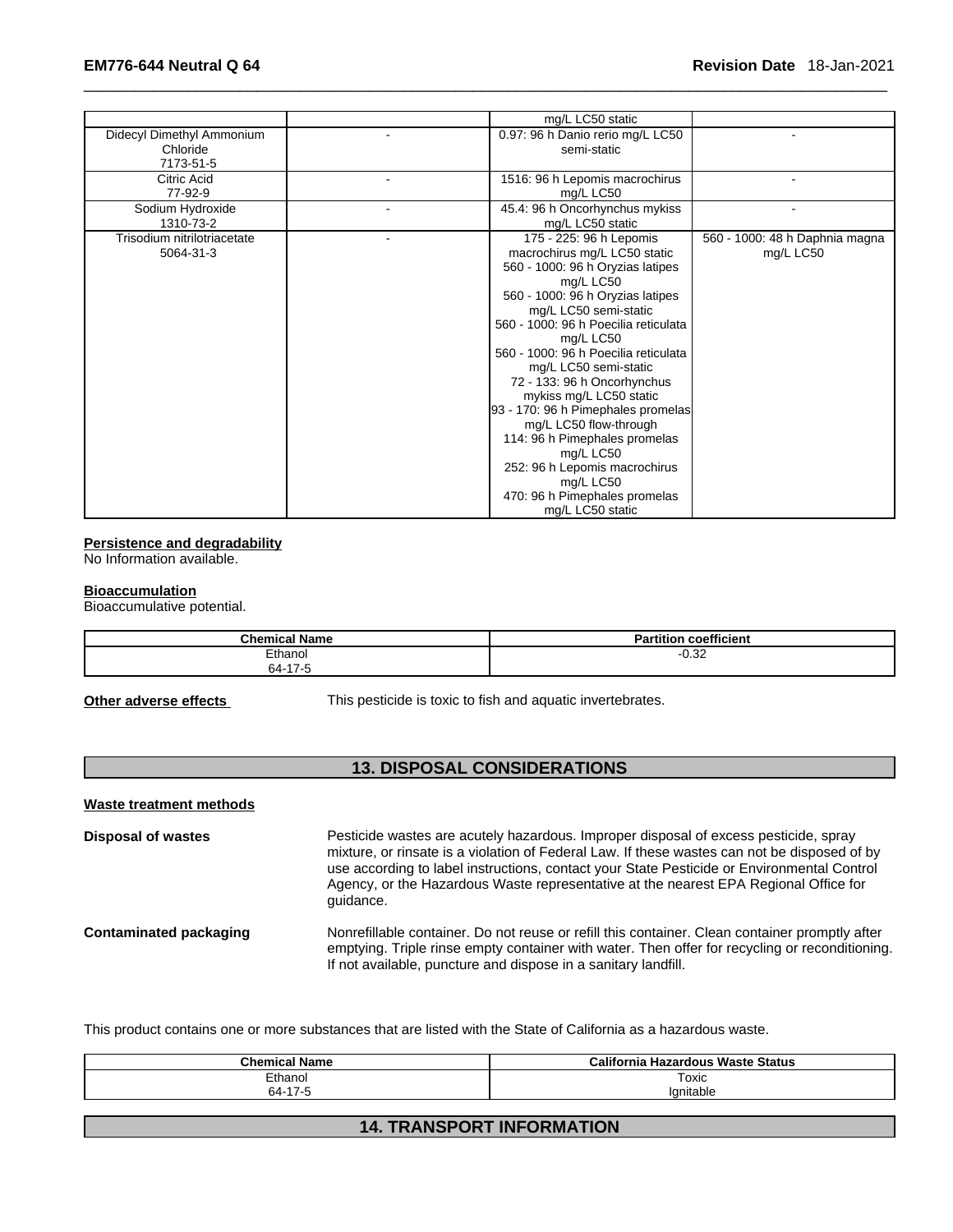|                                                    | mg/L LC50 static                                                                                                                                                                                                                                                                                                                                                                                                                                                                                                                                                       |                                             |
|----------------------------------------------------|------------------------------------------------------------------------------------------------------------------------------------------------------------------------------------------------------------------------------------------------------------------------------------------------------------------------------------------------------------------------------------------------------------------------------------------------------------------------------------------------------------------------------------------------------------------------|---------------------------------------------|
| Didecyl Dimethyl Ammonium<br>Chloride<br>7173-51-5 | 0.97: 96 h Danio rerio mg/L LC50<br>semi-static                                                                                                                                                                                                                                                                                                                                                                                                                                                                                                                        |                                             |
| Citric Acid<br>77-92-9                             | 1516: 96 h Lepomis macrochirus<br>mg/L LC50                                                                                                                                                                                                                                                                                                                                                                                                                                                                                                                            |                                             |
| Sodium Hydroxide<br>1310-73-2                      | 45.4: 96 h Oncorhynchus mykiss<br>mg/L LC50 static                                                                                                                                                                                                                                                                                                                                                                                                                                                                                                                     |                                             |
| Trisodium nitrilotriacetate<br>5064-31-3           | 175 - 225: 96 h Lepomis<br>macrochirus mg/L LC50 static<br>560 - 1000: 96 h Oryzias latipes<br>mg/L LC50<br>560 - 1000: 96 h Oryzias latipes<br>mg/L LC50 semi-static<br>560 - 1000: 96 h Poecilia reticulata<br>mg/L LC50<br>560 - 1000: 96 h Poecilia reticulata<br>mg/L LC50 semi-static<br>72 - 133: 96 h Oncorhynchus<br>mykiss mg/L LC50 static<br>93 - 170: 96 h Pimephales promelas<br>mg/L LC50 flow-through<br>114: 96 h Pimephales promelas<br>mg/L LC50<br>252: 96 h Lepomis macrochirus<br>mg/L LC50<br>470: 96 h Pimephales promelas<br>mg/L LC50 static | 560 - 1000: 48 h Daphnia magna<br>mg/L LC50 |

### **Persistence and degradability**

No Information available.

#### **Bioaccumulation**

Bioaccumulative potential.

| <b>Chemical Name</b> | $- - -$<br>.<br><b>Partition</b><br>coefficient |
|----------------------|-------------------------------------------------|
| Ethanol              | ר ג∩<br>ےن.∪                                    |
| 64-17-5<br>- 1       |                                                 |

**Other adverse effects** This pesticide is toxic to fish and aquatic invertebrates.

### **13. DISPOSAL CONSIDERATIONS**

#### **Waste treatment methods**

**Disposal of wastes** Pesticide wastes are acutely hazardous. Improper disposal of excess pesticide, spray mixture, or rinsate is a violation of Federal Law. If these wastes can not be disposed of by use according to label instructions, contact your State Pesticide or Environmental Control Agency, or the Hazardous Waste representative at the nearest EPA Regional Office for guidance. **Contaminated packaging Monrefillable container. Do not reuse or refill this container. Clean container promptly after** emptying. Triple rinse empty container with water. Then offer for recycling or reconditioning. If not available, puncture and dispose in a sanitary landfill.

This product contains one or more substances that are listed with the State of California as a hazardous waste.

| <b>Chemical Name</b> | California Hazardous Waste Status |
|----------------------|-----------------------------------|
| Ethanol              | Toxic                             |
| 64-17-5              | lanitable                         |
|                      |                                   |

### **14. TRANSPORT INFORMATION**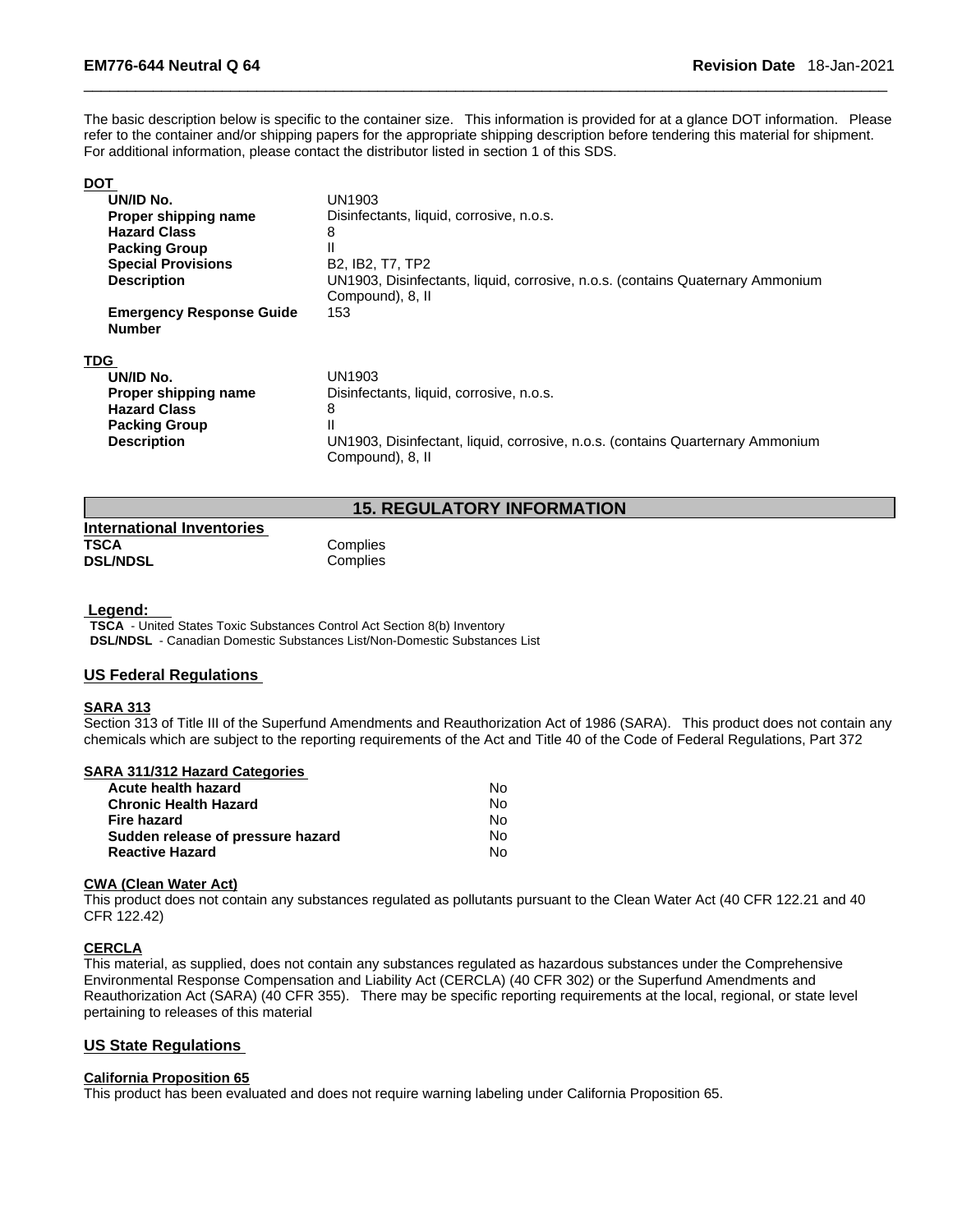The basic description below is specific to the container size. This information is provided for at a glance DOT information. Please refer to the container and/or shipping papers for the appropriate shipping description before tendering this material for shipment. For additional information, please contact the distributor listed in section 1 of this SDS.

### **DOT**

| UN/ID No.                                        | UN1903                                                                                             |
|--------------------------------------------------|----------------------------------------------------------------------------------------------------|
| Proper shipping name                             | Disinfectants, liquid, corrosive, n.o.s.                                                           |
| <b>Hazard Class</b>                              | 8                                                                                                  |
| <b>Packing Group</b>                             |                                                                                                    |
| <b>Special Provisions</b>                        | B <sub>2</sub> , IB <sub>2</sub> , T <sub>7</sub> , T <sub>P2</sub>                                |
| <b>Description</b>                               | UN1903, Disinfectants, liquid, corrosive, n.o.s. (contains Quaternary Ammonium<br>Compound), 8, II |
| <b>Emergency Response Guide</b><br><b>Number</b> | 153                                                                                                |
| TDG                                              |                                                                                                    |
| UN/ID No.                                        | UN1903                                                                                             |
| Proper shipping name                             | Disinfectants, liquid, corrosive, n.o.s.                                                           |
| <b>Hazard Class</b>                              | 8                                                                                                  |
| <b>Packing Group</b>                             |                                                                                                    |
| <b>Description</b>                               | UN1903, Disinfectant, liquid, corrosive, n.o.s. (contains Quarternary Ammonium<br>Compound), 8, II |

### **15. REGULATORY INFORMATION**

| <b>International Inventories</b> |          |  |
|----------------------------------|----------|--|
| TSCA                             | Complies |  |
| <b>DSL/NDSL</b>                  | Complies |  |

#### **Legend:**

**TSCA** - United States Toxic Substances Control Act Section 8(b) Inventory **DSL/NDSL** - Canadian Domestic Substances List/Non-Domestic Substances List

### **US Federal Regulations**

### **SARA 313**

Section 313 of Title III of the Superfund Amendments and Reauthorization Act of 1986 (SARA). This product does not contain any chemicals which are subject to the reporting requirements of the Act and Title 40 of the Code of Federal Regulations, Part 372

#### **SARA 311/312 Hazard Categories**

| Acute health hazard               | No. |
|-----------------------------------|-----|
| <b>Chronic Health Hazard</b>      | No. |
| Fire hazard                       | N٥  |
| Sudden release of pressure hazard | N٥  |
| <b>Reactive Hazard</b>            | No  |

#### **CWA (Clean WaterAct)**

This product does not contain any substances regulated as pollutants pursuant to the Clean Water Act (40 CFR 122.21 and 40 CFR 122.42)

#### **CERCLA**

This material, as supplied, does not contain any substances regulated as hazardous substances under the Comprehensive Environmental Response Compensation and Liability Act (CERCLA) (40 CFR 302) or the Superfund Amendments and Reauthorization Act (SARA) (40 CFR 355). There may be specific reporting requirements at the local, regional, or state level pertaining to releases of this material

### **US State Regulations**

### **California Proposition 65**

This product has been evaluated and does not require warning labeling under California Proposition 65.